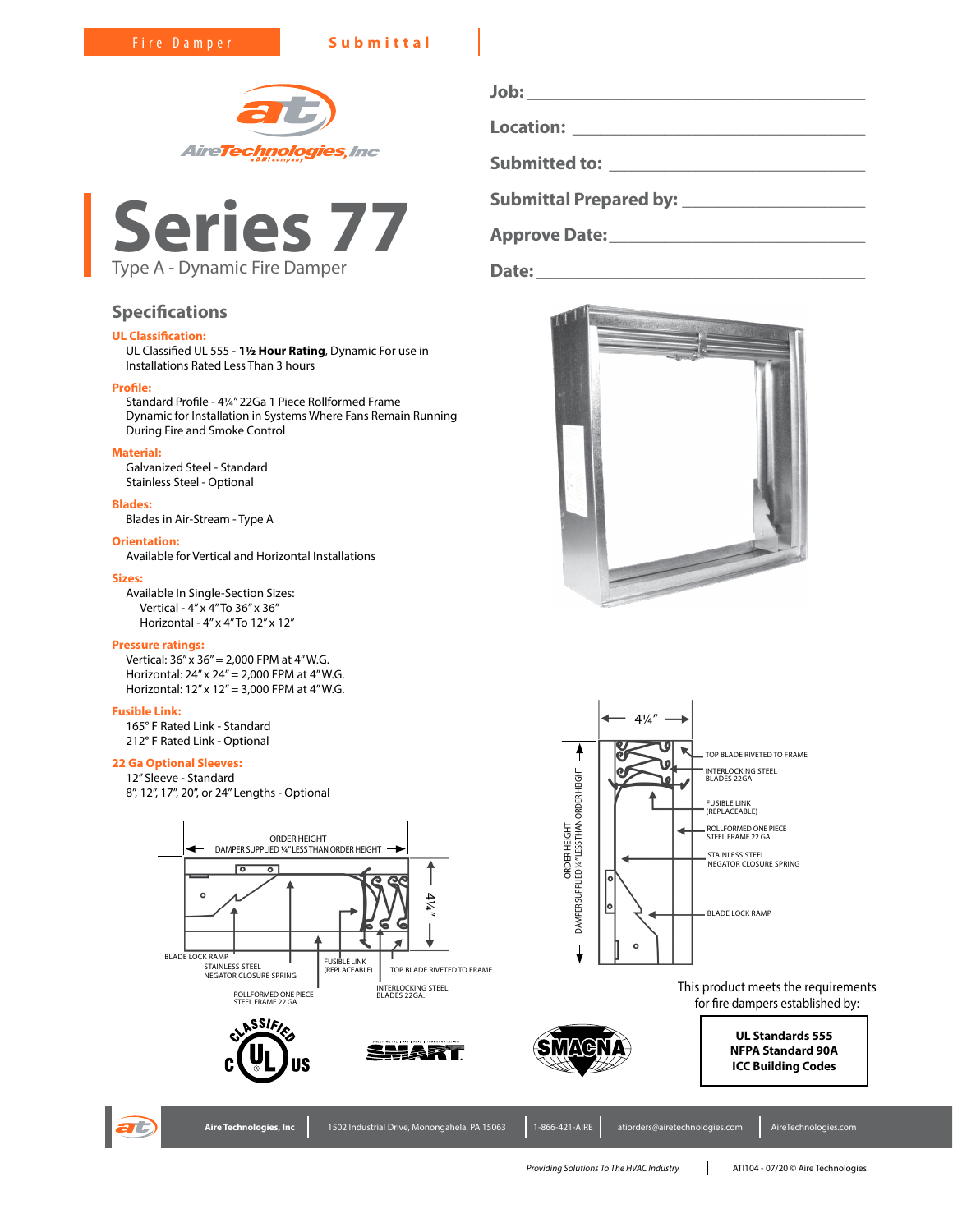



# **Specifications**

# **UL Classification:**

UL Classified UL 555 - **1½ Hour Rating**, Dynamic For use in Installations Rated Less Than 3 hours

# **Profile:**

Standard Profile - 4¼" 22Ga 1 Piece Rollformed Frame Dynamic for Installation in Systems Where Fans Remain Running During Fire and Smoke Control

# **Material:**

Galvanized Steel - Standard Stainless Steel - Optional

# **Blades:**

Blades in Air-Stream - Type A

## **Orientation:**

Available for Vertical and Horizontal Installations

### **Sizes:**

Available In Single-Section Sizes: Vertical - 4" x 4" To 36" x 36" Horizontal - 4" x 4" To 12" x 12"

# **Pressure ratings:**

Vertical: 36" x 36" = 2,000 FPM at 4" W.G. Horizontal: 24" x 24" = 2,000 FPM at 4" W.G. Horizontal: 12" x 12" = 3,000 FPM at 4" W.G.

# **Fusible Link:**

165° F Rated Link - Standard 212° F Rated Link - Optional

# **22 Ga Optional Sleeves:**

12" Sleeve - Standard 8", 12", 17", 20", or 24" Lengths - Optional





**Job: \_\_\_\_\_\_\_\_\_\_\_\_\_\_\_\_\_\_\_\_\_\_\_\_\_\_\_\_\_\_\_\_\_\_\_\_\_ Location: \_\_\_\_\_\_\_\_\_\_\_\_\_\_\_\_\_\_\_\_\_\_\_\_\_\_\_\_\_\_\_\_ Submitted to: \_\_\_\_\_\_\_\_\_\_\_\_\_\_\_\_\_\_\_\_\_\_\_\_\_\_\_\_**

**Submittal Prepared by: \_\_\_\_\_\_\_\_\_\_\_\_\_\_\_\_\_\_\_\_**

**Approve Date:\_\_\_\_\_\_\_\_\_\_\_\_\_\_\_\_\_\_\_\_\_\_\_\_\_\_\_\_**

**Date:\_\_\_\_\_\_\_\_\_\_\_\_\_\_\_\_\_\_\_\_\_\_\_\_\_\_\_\_\_\_\_\_\_\_\_\_**





This product meets the requirements for fire dampers established by:

> **UL Standards 555 NFPA Standard 90A ICC Building Codes**





Aire Technologies, Inc 1502 Industrial Drive, Monongahela, PA 15063 1-866-421-AIRE atiorders@airetechnologies.com AireTechnologies.com